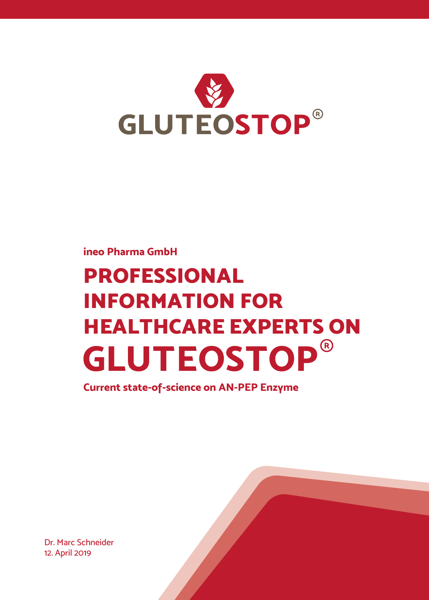

#### **ineo Pharma GmbH**

# **PROFESSIONAL INFORMATION FOR**  HEALTHCARE EXPERTS ON **GLUTEOSTOP**®

**Current state-of-science on AN-PEP Enzyme**

Dr. Marc Schneider 12. April 2019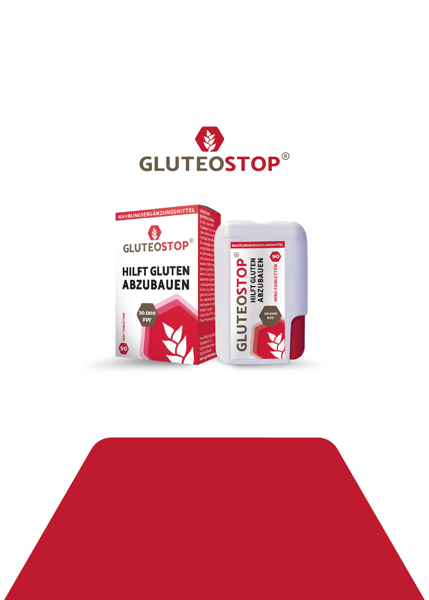



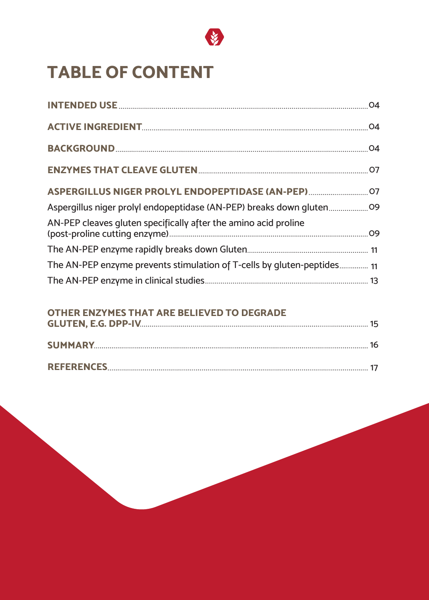

### **TABLE OF CONTENT**

| ASPERGILLUS NIGER PROLYL ENDOPEPTIDASE (AN-PEP)                         |  |
|-------------------------------------------------------------------------|--|
| Aspergillus niger prolyl endopeptidase (AN-PEP) breaks down gluten      |  |
| AN-PEP cleaves gluten specifically after the amino acid proline         |  |
|                                                                         |  |
| The AN-PEP enzyme prevents stimulation of T-cells by gluten-peptides 11 |  |
|                                                                         |  |

#### **OTHER ENZYMES THAT ARE BELIEVED TO DEGRADE**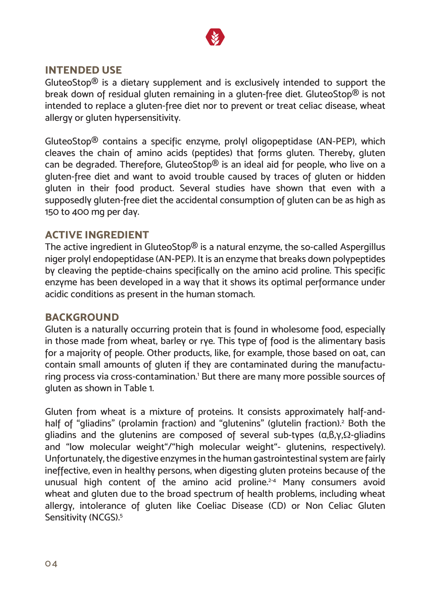

#### **INTENDED USE**

GluteoStop<sup>®</sup> is a dietary supplement and is exclusively intended to support the break down of residual gluten remaining in a gluten-free diet. GluteoStop® is not intended to replace a gluten-free diet nor to prevent or treat celiac disease, wheat allergy or gluten hypersensitivity.

GluteoStop® contains a specific enzyme, prolyl oligopeptidase (AN-PEP), which cleaves the chain of amino acids (peptides) that forms gluten. Thereby, gluten can be degraded. Therefore, GluteoStop® is an ideal aid for people, who live on a gluten-free diet and want to avoid trouble caused by traces of gluten or hidden gluten in their food product. Several studies have shown that even with a supposedly gluten-free diet the accidental consumption of gluten can be as high as 150 to 400 mg per day.

#### **ACTIVE INGREDIENT**

The active ingredient in GluteoStop® is a natural enzyme, the so-called Aspergillus niger prolyl endopeptidase (AN-PEP). It is an enzyme that breaks down polypeptides by cleaving the peptide-chains specifically on the amino acid proline. This specific enzyme has been developed in a way that it shows its optimal performance under acidic conditions as present in the human stomach.

#### **BACKGROUND**

Gluten is a naturally occurring protein that is found in wholesome food, especially in those made from wheat, barley or rye. This type of food is the alimentary basis for a majority of people. Other products, like, for example, those based on oat, can contain small amounts of gluten if they are contaminated during the manufacturing process via cross-contamination.<sup>1</sup> But there are many more possible sources of gluten as shown in Table 1.

Gluten from wheat is a mixture of proteins. It consists approximately half-andhalf of "gliadins" (prolamin fraction) and "glutenins" (glutelin fraction).<sup>2</sup> Both the gliadins and the glutenins are composed of several sub-types  $(α, β, γ, Ω-$ gliadins and "low molecular weight"/"high molecular weight"- glutenins, respectively). Unfortunately, the digestive enzymes in the human gastrointestinal system are fairly ineffective, even in healthy persons, when digesting gluten proteins because of the unusual high content of the amino acid proline.<sup>2-4</sup> Many consumers avoid wheat and gluten due to the broad spectrum of health problems, including wheat allergy, intolerance of gluten like Coeliac Disease (CD) or Non Celiac Gluten Sensitivity (NCGS).<sup>5</sup>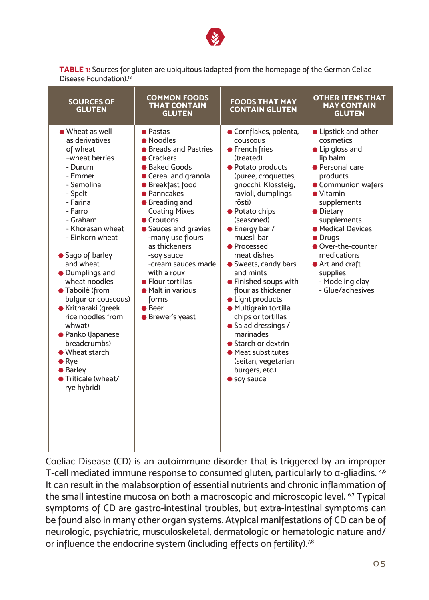

**TABLE 1:** Sources for gluten are ubiquitous (adapted from the homepage of the German Celiac Disease Foundation)<sup>18</sup>

| <b>SOURCES OF</b><br><b>GLUTEN</b>                                                                                                                                                                                                                                                                                                                                                                                                                                                         | <b>COMMON FOODS</b><br><b>THAT CONTAIN</b><br><b>GLUTEN</b>                                                                                                                                                                                                                                                                                                                                          | <b>FOODS THAT MAY</b><br><b>CONTAIN GLUTEN</b>                                                                                                                                                                                                                                                                                                                                                                                                                                                                                                                      | <b>OTHER ITEMS THAT</b><br><b>MAY CONTAIN</b><br><b>GLUTEN</b>                                                                                                                                                                                                                                                                          |
|--------------------------------------------------------------------------------------------------------------------------------------------------------------------------------------------------------------------------------------------------------------------------------------------------------------------------------------------------------------------------------------------------------------------------------------------------------------------------------------------|------------------------------------------------------------------------------------------------------------------------------------------------------------------------------------------------------------------------------------------------------------------------------------------------------------------------------------------------------------------------------------------------------|---------------------------------------------------------------------------------------------------------------------------------------------------------------------------------------------------------------------------------------------------------------------------------------------------------------------------------------------------------------------------------------------------------------------------------------------------------------------------------------------------------------------------------------------------------------------|-----------------------------------------------------------------------------------------------------------------------------------------------------------------------------------------------------------------------------------------------------------------------------------------------------------------------------------------|
| ● Wheat as well<br>as derivatives<br>of wheat<br>-wheat berries<br>- Durum<br>- Emmer<br>- Semolina<br>- Spelt<br>- Farina<br>- Farro<br>- Graham<br>- Khorasan wheat<br>- Einkorn wheat<br>Sago of barley<br>and wheat<br>• Dumplings and<br>wheat noodles<br>● Taboilé (from<br>bulgur or couscous)<br>● Kritharaki (greek<br>rice noodles from<br>whwat)<br>● Panko (Japanese<br>breadcrumbs)<br>• Wheat starch<br>$\bullet$ Rye<br><b>Barley</b><br>● Triticale (wheat/<br>rye hybrid) | <b>•</b> Pastas<br>• Noodles<br>● Breads and Pastries<br>Crackers<br>● Baked Goods<br>● Cereal and granola<br>● Breakfast food<br>● Panncakes<br>● Breading and<br><b>Coating Mixes</b><br>● Croutons<br>Sauces and gravies<br>-many use flours<br>as thickeners<br>-soy sauce<br>-cream sauces made<br>with a roux<br>• Flour tortillas<br>• Malt in various<br>forms<br>● Beer<br>● Brewer's yeast | ● Cornflakes, polenta,<br>couscous<br>● French fries<br>(treated)<br>● Potato products<br>(puree, croquettes,<br>gnocchi, Klossteig,<br>ravioli, dumplings<br>rösti)<br>● Potato chips<br>(seasoned)<br>● Energy bar /<br>muesli bar<br><b>•</b> Processed<br>meat dishes<br>● Sweets, candy bars<br>and mints<br>● Finished soups with<br>flour as thickener<br>• Light products<br>· Multigrain tortilla<br>chips or tortillas<br>Salad dressings /<br>marinades<br>Starch or dextrin<br>● Meat substitutes<br>(seitan, vegetarian<br>burgers, etc.)<br>soy sauce | • Lipstick and other<br>cosmetics<br>• Lip gloss and<br>lip balm<br><b>•</b> Personal care<br>products<br>● Communion wafers<br>$\bullet$ Vitamin<br>supplements<br>• Dietary<br>supplements<br>● Medical Devices<br>• Drugs<br>● Over-the-counter<br>medications<br>● Art and craft<br>supplies<br>- Modeling clay<br>- Glue/adhesives |

Coeliac Disease (CD) is an autoimmune disorder that is triggered by an improper T-cell mediated immune response to consumed gluten, particularly to α-gliadins. 4,6 It can result in the malabsorption of essential nutrients and chronic inflammation of the small intestine mucosa on both a macroscopic and microscopic level. <sup>6,7</sup> Typical symptoms of CD are gastro-intestinal troubles, but extra-intestinal symptoms can be found also in many other organ systems. Atypical manifestations of CD can be of neurologic, psychiatric, musculoskeletal, dermatologic or hematologic nature and/ or influence the endocrine system (including effects on fertility).<sup>7,8</sup>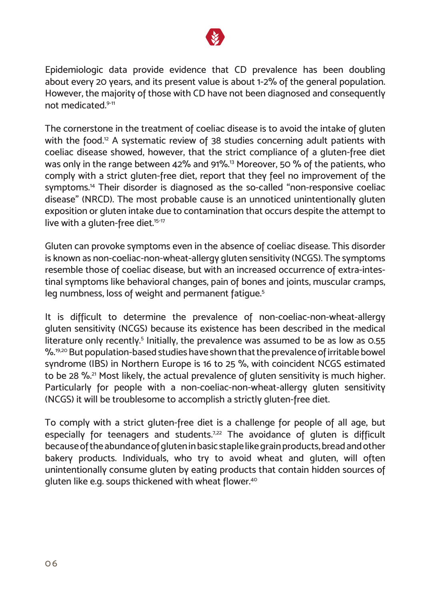

Epidemiologic data provide evidence that CD prevalence has been doubling about every 20 years, and its present value is about 1-2% of the general population. However, the majority of those with CD have not been diagnosed and consequently not medicated.9-11

The cornerstone in the treatment of coeliac disease is to avoid the intake of gluten with the food.<sup>12</sup> A systematic review of 38 studies concerning adult patients with coeliac disease showed, however, that the strict compliance of a gluten-free diet was only in the range between 42% and 91%.<sup>13</sup> Moreover, 50 % of the patients, who comply with a strict gluten-free diet, report that they feel no improvement of the symptoms.<sup>14</sup> Their disorder is diagnosed as the so-called "non-responsive coeliac disease" (NRCD). The most probable cause is an unnoticed unintentionally gluten exposition or gluten intake due to contamination that occurs despite the attempt to live with a gluten-free diet.<sup>15-17</sup>

Gluten can provoke symptoms even in the absence of coeliac disease. This disorder is known as non-coeliac-non-wheat-allergy gluten sensitivity (NCGS). The symptoms resemble those of coeliac disease, but with an increased occurrence of extra-intestinal symptoms like behavioral changes, pain of bones and joints, muscular cramps, leg numbness, loss of weight and permanent fatigue.<sup>5</sup>

It is difficult to determine the prevalence of non-coeliac-non-wheat-allergy gluten sensitivity (NCGS) because its existence has been described in the medical literature only recently.<sup>5</sup> Initially, the prevalence was assumed to be as low as 0.55 %.<sup>19,20</sup> But population-based studies have shown that the prevalence of irritable bowel syndrome (IBS) in Northern Europe is 16 to 25 %, with coincident NCGS estimated to be 28 %.<sup>21</sup> Most likely, the actual prevalence of gluten sensitivity is much higher. Particularly for people with a non-coeliac-non-wheat-allergy gluten sensitivity (NCGS) it will be troublesome to accomplish a strictly gluten-free diet.

To comply with a strict gluten-free diet is a challenge for people of all age, but especially for teenagers and students.<sup>7,22</sup> The avoidance of gluten is difficult because of the abundance of gluten in basic staple like grain products, bread and other bakery products. Individuals, who try to avoid wheat and gluten, will often unintentionally consume gluten by eating products that contain hidden sources of gluten like e.g. soups thickened with wheat flower.<sup>40</sup>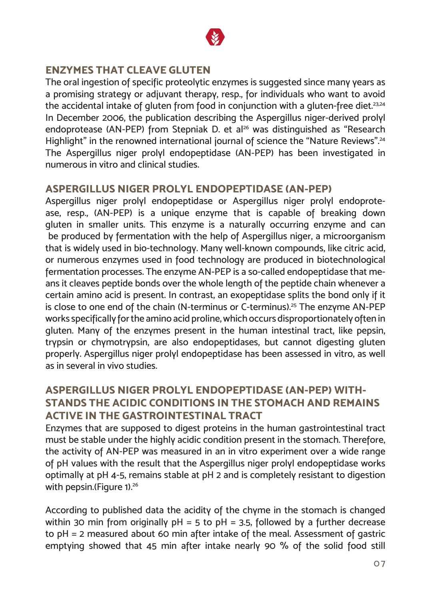

#### **ENZYMES THAT CLEAVE GLUTEN**

The oral ingestion of specific proteolytic enzymes is suggested since many years as a promising strategy or adjuvant therapy, resp., for individuals who want to avoid the accidental intake of gluten from food in conjunction with a gluten-free diet.<sup>23,24</sup> In December 2006, the publication describing the Aspergillus niger-derived prolyl endoprotease (AN-PEP) from Stepniak D. et al<sup>26</sup> was distinguished as "Research Highlight" in the renowned international journal of science the "Nature Reviews".<sup>24</sup> The Aspergillus niger prolyl endopeptidase (AN-PEP) has been investigated in numerous in vitro and clinical studies.

#### **ASPERGILLUS NIGER PROLYL ENDOPEPTIDASE (AN-PEP)**

Aspergillus niger prolyl endopeptidase or Aspergillus niger prolyl endoprotease, resp., (AN-PEP) is a unique enzyme that is capable of breaking down gluten in smaller units. This enzyme is a naturally occurring enzyme and can be produced by fermentation with the help of Aspergillus niger, a microorganism that is widely used in bio-technology. Many well-known compounds, like citric acid, or numerous enzymes used in food technology are produced in biotechnological fermentation processes. The enzyme AN-PEP is a so-called endopeptidase that means it cleaves peptide bonds over the whole length of the peptide chain whenever a certain amino acid is present. In contrast, an exopeptidase splits the bond only if it is close to one end of the chain (N-terminus or C-terminus).<sup>25</sup> The enzyme AN-PEP works specifically for the amino acid proline, which occurs disproportionately often in gluten. Many of the enzymes present in the human intestinal tract, like pepsin, trypsin or chymotrypsin, are also endopeptidases, but cannot digesting gluten properly. Aspergillus niger prolyl endopeptidase has been assessed in vitro, as well as in several in vivo studies.

#### **ASPERGILLUS NIGER PROLYL ENDOPEPTIDASE (AN-PEP) WITH-STANDS THE ACIDIC CONDITIONS IN THE STOMACH AND REMAINS ACTIVE IN THE GASTROINTESTINAL TRACT**

Enzymes that are supposed to digest proteins in the human gastrointestinal tract must be stable under the highly acidic condition present in the stomach. Therefore, the activity of AN-PEP was measured in an in vitro experiment over a wide range of pH values with the result that the Aspergillus niger prolyl endopeptidase works optimally at pH 4-5, remains stable at pH 2 and is completely resistant to digestion with pepsin.(Figure 1).<sup>26</sup>

According to published data the acidity of the chyme in the stomach is changed within 30 min from originally  $pH = 5$  to  $pH = 3.5$ , followed by a further decrease to pH = 2 measured about 60 min after intake of the meal. Assessment of gastric emptying showed that 45 min after intake nearly 90 % of the solid food still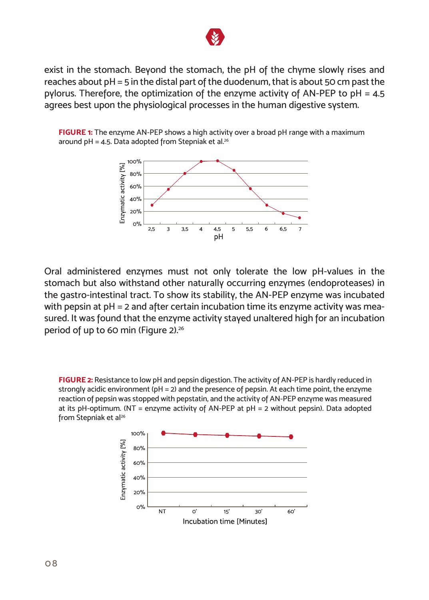

exist in the stomach. Beyond the stomach, the pH of the chyme slowly rises and reaches about pH = 5 in the distal part of the duodenum, that is about 50 cm past the pylorus. Therefore, the optimization of the enzyme activity of AN-PEP to pH = 4.5 agrees best upon the physiological processes in the human digestive system.

**FIGURE 1:** The enzyme AN-PEP shows a high activity over a broad pH range with a maximum around pH = 4.5. Data adopted from Stepniak et al.<sup>26</sup>



Oral administered enzymes must not only tolerate the low pH-values in the stomach but also withstand other naturally occurring enzymes (endoproteases) in the gastro-intestinal tract. To show its stability, the AN-PEP enzyme was incubated with pepsin at pH = 2 and after certain incubation time its enzyme activity was measured. It was found that the enzyme activity stayed unaltered high for an incubation period of up to 60 min (Figure 2).<sup>26</sup>

**FIGURE 2:** Resistance to low pH and pepsin digestion. The activity of AN-PEP is hardly reduced in strongly acidic environment (pH = 2) and the presence of pepsin. At each time point, the enzyme reaction of pepsin was stopped with pepstatin, and the activity of AN-PEP enzyme was measured at its pH-optimum. (NT = enzyme activity of AN-PEP at pH = 2 without pepsin). Data adopted from Stepniak et al<sup>26</sup>

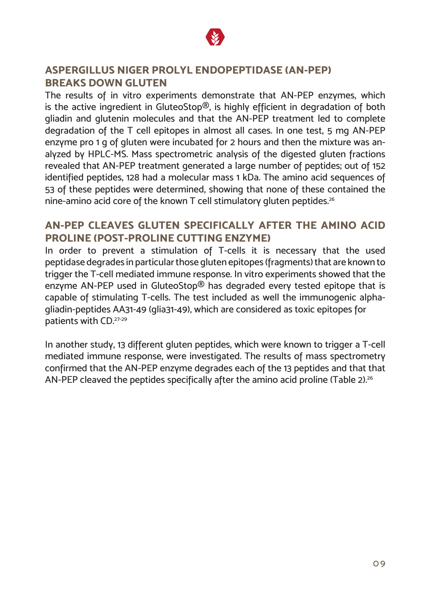

#### **ASPERGILLUS NIGER PROLYL ENDOPEPTIDASE (AN-PEP) BREAKS DOWN GLUTEN**

The results of in vitro experiments demonstrate that AN-PEP enzymes, which is the active ingredient in GluteoStop®, is highly efficient in degradation of both gliadin and glutenin molecules and that the AN-PEP treatment led to complete degradation of the T cell epitopes in almost all cases. In one test, 5 mg AN-PEP enzyme pro 1 g of gluten were incubated for 2 hours and then the mixture was analyzed by HPLC-MS. Mass spectrometric analysis of the digested gluten fractions revealed that AN-PEP treatment generated a large number of peptides; out of 152 identified peptides, 128 had a molecular mass 1 kDa. The amino acid sequences of 53 of these peptides were determined, showing that none of these contained the nine-amino acid core of the known T cell stimulatory gluten peptides.<sup>26</sup>

#### **AN-PEP CLEAVES GLUTEN SPECIFICALLY AFTER THE AMINO ACID PROLINE (POST-PROLINE CUTTING ENZYME)**

In order to prevent a stimulation of T-cells it is necessary that the used peptidase degrades in particular those gluten epitopes (fragments) that are known to trigger the T-cell mediated immune response. In vitro experiments showed that the enzyme AN-PEP used in GluteoStop® has degraded every tested epitope that is capable of stimulating T-cells. The test included as well the immunogenic alphagliadin-peptides AA31-49 (glia31-49), which are considered as toxic epitopes for patients with CD.27-29

In another study, 13 different gluten peptides, which were known to trigger a T-cell mediated immune response, were investigated. The results of mass spectrometry confirmed that the AN-PEP enzyme degrades each of the 13 peptides and that that AN-PEP cleaved the peptides specifically after the amino acid proline (Table 2).<sup>26</sup>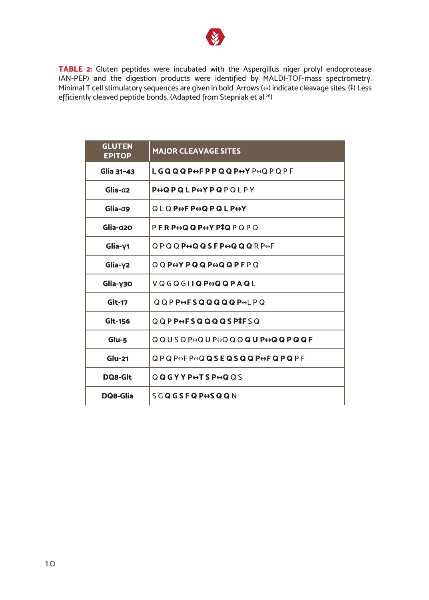

**TABLE 2:** Gluten peptides were incubated with the Aspergillus niger prolyl endoprotease (AN-PEP) and the digestion products were identified by MALDI-TOF-mass spectrometry. Minimal T cell stimulatory sequences are given in bold. Arrows (↔) indicate cleavage sites. (‡) Less efficiently cleaved peptide bonds. (Adapted from Stepniak et al.<sup>26</sup>)

| <b>GLUTEN</b><br><b>EPITOP</b> | <b>MAJOR CLEAVAGE SITES</b>                                                                                                                                              |
|--------------------------------|--------------------------------------------------------------------------------------------------------------------------------------------------------------------------|
| Glia 31-43                     | LGQQQP⇔FPPQQP⇔YP⇔QPQPF                                                                                                                                                   |
| Glia-q2                        | <b>PODPQLPOYPQPOIPY</b>                                                                                                                                                  |
| $G$ lia- $\alpha$ 9            | <b>QLQPOFPOQPQLPOY</b>                                                                                                                                                   |
| $G$ lia- $q2$                  | P <b>FRP<del>O</del>QQP<del>O</del>YP‡Q</b> PQPQ                                                                                                                         |
| $G$ lia- $Y$ 1                 | QPQQ <b>P⇔QQSFP⇔QQQ</b> RP⇔F                                                                                                                                             |
| $G$ lia- $\gamma$ 2            | $0.0$ P $\leftrightarrow$ P Q Q P $\leftrightarrow$ Q Q P F P $\odot$                                                                                                    |
| $G$ lia- $\gamma$ 30           | VQGQGIIQPOQQPAQL                                                                                                                                                         |
| Glt-17                         | $Q$ $Q$ $P$ $P$ $\leftrightarrow$ $F$ $S$ $Q$ $Q$ $Q$ $Q$ $Q$ $P$ $\leftrightarrow$ $L$ $P$ $Q$                                                                          |
| Glt-156                        | QQPP <del>o</del> FSQQQQSP#FSQ                                                                                                                                           |
| $Glu-5$                        | $QQUSO$ P $\leftrightarrow$ Q $U$ P $\leftrightarrow$ Q $QQ$ <b>Q</b> $U$ <b>P<math>\leftrightarrow</math>Q<math>Q</math></b> $Q$ <b>P<math>Q</math><math>Q</math> F</b> |
| $Glu-21$                       | QPQP↔FP↔Q <b>QSEQSQQP↔FQPQ</b> PF                                                                                                                                        |
| DQ8-Glt                        | QQGYYPOTSPOQQS                                                                                                                                                           |
| DQ8-Glia                       | <b>SGQGSFQP+SQQN</b>                                                                                                                                                     |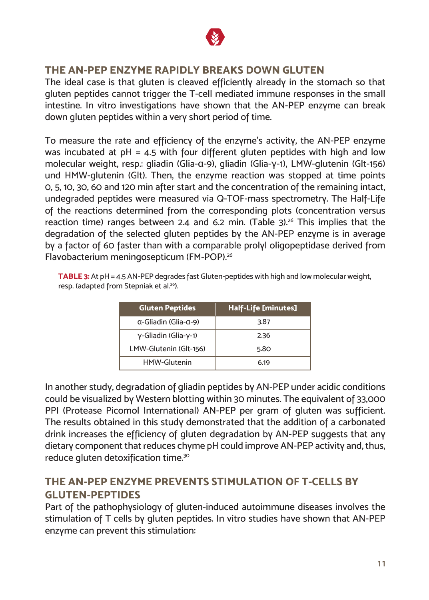

#### **THE AN-PEP ENZYME RAPIDLY BREAKS DOWN GLUTEN**

The ideal case is that gluten is cleaved efficiently already in the stomach so that gluten peptides cannot trigger the T-cell mediated immune responses in the small intestine. In vitro investigations have shown that the AN-PEP enzyme can break down gluten peptides within a very short period of time.

To measure the rate and efficiency of the enzyme's activity, the AN-PEP enzyme was incubated at  $pH = 4.5$  with four different gluten peptides with high and low molecular weight, resp.: gliadin (Glia-α-9), gliadin (Glia-γ-1), LMW-glutenin (Glt-156) und HMW-glutenin (Glt). Then, the enzyme reaction was stopped at time points 0, 5, 10, 30, 60 and 120 min after start and the concentration of the remaining intact, undegraded peptides were measured via Q-TOF-mass spectrometry. The Half-Life of the reactions determined from the corresponding plots (concentration versus reaction time) ranges between 2.4 and 6.2 min. (Table  $3$ ).<sup>26</sup> This implies that the degradation of the selected gluten peptides by the AN-PEP enzyme is in average by a factor of 60 faster than with a comparable prolyl oligopeptidase derived from Flavobacterium meningosepticum (FM-POP).<sup>26</sup>

**TABLE 3:** At pH = 4.5 AN-PEP degrades fast Gluten-peptides with high and low molecular weight, resp. (adapted from Stepniak et al.<sup>26</sup>).

| <b>Gluten Peptides</b>                | Half-Life [minutes] |
|---------------------------------------|---------------------|
| $\alpha$ -Gliadin (Glia- $\alpha$ -9) | 3.87                |
| y-Gliadin (Glia-y-1)                  | 2.36                |
| LMW-Glutenin (Glt-156)                | 5.80                |
| <b>HMW-Glutenin</b>                   | 6.19                |

In another study, degradation of gliadin peptides by AN-PEP under acidic conditions could be visualized by Western blotting within 30 minutes. The equivalent of 33,000 PPI (Protease Picomol International) AN-PEP per gram of gluten was sufficient. The results obtained in this study demonstrated that the addition of a carbonated drink increases the efficiency of gluten degradation by AN-PEP suggests that any dietary component that reduces chyme pH could improve AN-PEP activity and, thus, reduce gluten detoxification time.<sup>30</sup>

#### **THE AN-PEP ENZYME PREVENTS STIMULATION OF T-CELLS BY GLUTEN-PEPTIDES**

Part of the pathophysiology of gluten-induced autoimmune diseases involves the stimulation of T cells by gluten peptides. In vitro studies have shown that AN-PEP enzyme can prevent this stimulation: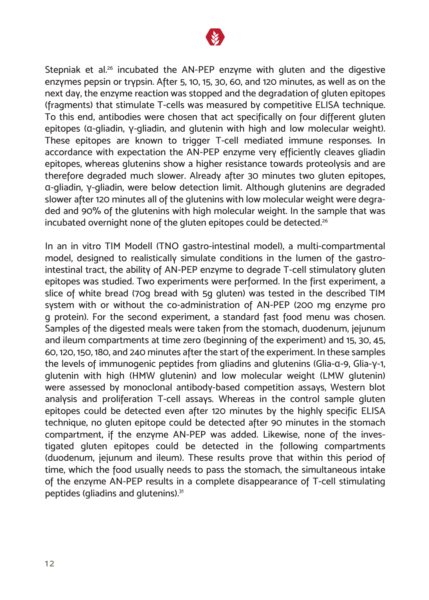

Stepniak et al.<sup>26</sup> incubated the AN-PEP enzyme with gluten and the digestive enzymes pepsin or trypsin. After 5, 10, 15, 30, 60, and 120 minutes, as well as on the next day, the enzyme reaction was stopped and the degradation of gluten epitopes (fragments) that stimulate T-cells was measured by competitive ELISA technique. To this end, antibodies were chosen that act specifically on four different gluten epitopes (α-gliadin, γ-gliadin, and glutenin with high and low molecular weight). These epitopes are known to trigger T-cell mediated immune responses. In accordance with expectation the AN-PEP enzyme very efficiently cleaves gliadin epitopes, whereas glutenins show a higher resistance towards proteolysis and are therefore degraded much slower. Already after 30 minutes two gluten epitopes, α-gliadin, γ-gliadin, were below detection limit. Although glutenins are degraded slower after 120 minutes all of the glutenins with low molecular weight were degraded and 90% of the glutenins with high molecular weight. In the sample that was incubated overnight none of the gluten epitopes could be detected.<sup>26</sup>

In an in vitro TIM Modell (TNO gastro-intestinal model), a multi-compartmental model, designed to realistically simulate conditions in the lumen of the gastrointestinal tract, the ability of AN-PEP enzyme to degrade T-cell stimulatory gluten epitopes was studied. Two experiments were performed. In the first experiment, a slice of white bread (70g bread with 5g gluten) was tested in the described TIM system with or without the co-administration of AN-PEP (200 mg enzyme pro g protein). For the second experiment, a standard fast food menu was chosen. Samples of the digested meals were taken from the stomach, duodenum, jejunum and ileum compartments at time zero (beginning of the experiment) and 15, 30, 45, 60, 120, 150, 180, and 240 minutes after the start of the experiment. In these samples the levels of immunogenic peptides from gliadins and glutenins (Glia-α-9, Glia-γ-1, glutenin with high (HMW glutenin) and low molecular weight (LMW glutenin) were assessed by monoclonal antibody-based competition assays, Western blot analysis and proliferation T-cell assays. Whereas in the control sample gluten epitopes could be detected even after 120 minutes by the highly specific ELISA technique, no gluten epitope could be detected after 90 minutes in the stomach compartment, if the enzyme AN-PEP was added. Likewise, none of the investigated gluten epitopes could be detected in the following compartments (duodenum, jejunum and ileum). These results prove that within this period of time, which the food usually needs to pass the stomach, the simultaneous intake of the enzyme AN-PEP results in a complete disappearance of T-cell stimulating peptides (gliadins and glutenins).<sup>31</sup>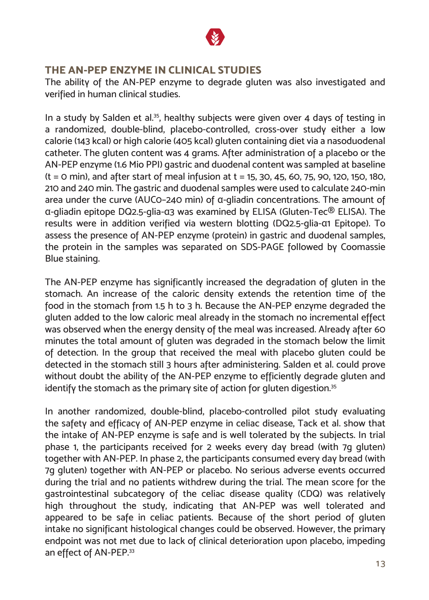

#### **THE AN-PEP ENZYME IN CLINICAL STUDIES**

The ability of the AN-PEP enzyme to degrade gluten was also investigated and verified in human clinical studies.

In a study by Salden et al.<sup>35</sup>, healthy subjects were given over 4 days of testing in a randomized, double-blind, placebo-controlled, cross-over study either a low calorie (143 kcal) or high calorie (405 kcal) gluten containing diet via a nasoduodenal catheter. The gluten content was 4 grams. After administration of a placebo or the AN-PEP enzyme (1.6 Mio PPI) gastric and duodenal content was sampled at baseline  $(t = 0 \text{ min})$ , and after start of meal infusion at  $t = 15$ , 30, 45, 60, 75, 90, 120, 150, 180, 210 and 240 min. The gastric and duodenal samples were used to calculate 240-min area under the curve (AUC0–240 min) of α-gliadin concentrations. The amount of α-gliadin epitope DQ2.5-glia-α3 was examined by ELISA (Gluten-Tec® ELISA). The results were in addition verified via western blotting (DQ2.5-glia-α1 Epitope). To assess the presence of AN-PEP enzyme (protein) in gastric and duodenal samples, the protein in the samples was separated on SDS-PAGE followed by Coomassie Blue staining.

The AN-PEP enzyme has significantly increased the degradation of gluten in the stomach. An increase of the caloric density extends the retention time of the food in the stomach from 1.5 h to 3 h. Because the AN-PEP enzyme degraded the gluten added to the low caloric meal already in the stomach no incremental effect was observed when the energy density of the meal was increased. Already after 60 minutes the total amount of gluten was degraded in the stomach below the limit of detection. In the group that received the meal with placebo gluten could be detected in the stomach still 3 hours after administering. Salden et al. could prove without doubt the ability of the AN-PEP enzyme to efficiently degrade gluten and identify the stomach as the primary site of action for gluten digestion.<sup>35</sup>

In another randomized, double-blind, placebo-controlled pilot study evaluating the safety and efficacy of AN-PEP enzyme in celiac disease, Tack et al. show that the intake of AN-PEP enzyme is safe and is well tolerated by the subjects. In trial phase 1, the participants received for 2 weeks every day bread (with 7g gluten) together with AN-PEP. In phase 2, the participants consumed every day bread (with 7g gluten) together with AN-PEP or placebo. No serious adverse events occurred during the trial and no patients withdrew during the trial. The mean score for the gastrointestinal subcategory of the celiac disease quality (CDQ) was relatively high throughout the study, indicating that AN-PEP was well tolerated and appeared to be safe in celiac patients. Because of the short period of gluten intake no significant histological changes could be observed. However, the primary endpoint was not met due to lack of clinical deterioration upon placebo, impeding an effect of AN-PEP.<sup>33</sup>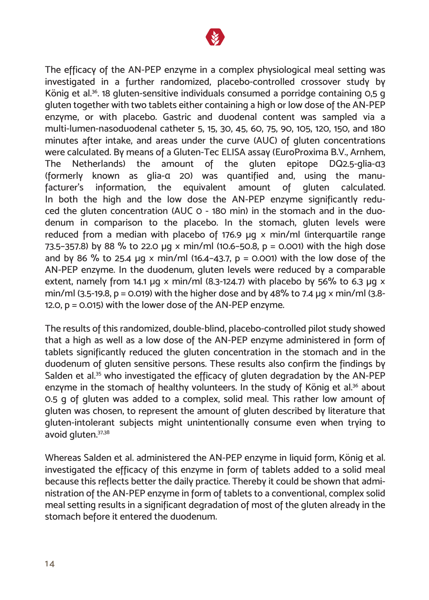

The efficacy of the AN-PEP enzyme in a complex physiological meal setting was investigated in a further randomized, placebo-controlled crossover study by König et al.36. 18 gluten-sensitive individuals consumed a porridge containing 0,5 g gluten together with two tablets either containing a high or low dose of the AN-PEP enzyme, or with placebo. Gastric and duodenal content was sampled via a multi-lumen-nasoduodenal catheter 5, 15, 30, 45, 60, 75, 90, 105, 120, 150, and 180 minutes after intake, and areas under the curve (AUC) of gluten concentrations were calculated. By means of a Gluten-Tec ELISA assay (EuroProxima B.V., Arnhem, The Netherlands) the amount of the gluten epitope DQ2.5-glia-α3 (formerly known as glia-α 20) was quantified and, using the manufacturer's information, the equivalent amount of gluten calculated. In both the high and the low dose the AN-PEP enzyme significantly reduced the gluten concentration (AUC 0 - 180 min) in the stomach and in the duodenum in comparison to the placebo. In the stomach, gluten levels were reduced from a median with placebo of 176.9  $\mu$ g x min/ml (interguartile range 73.5-357.8) by 88 % to 22.0 µg x min/ml (10.6-50.8, p = 0.001) with the high dose and by 86 % to 25.4  $\mu$ g x min/ml (16.4-43.7, p = 0.001) with the low dose of the AN-PEP enzyme. In the duodenum, gluten levels were reduced by a comparable extent, namely from 14.1 μg  $\times$  min/ml (8.3-124.7) with placebo by 56% to 6.3 μg  $\times$ min/ml (3.5-19.8, p = 0.019) with the higher dose and by 48% to 7.4  $\mu$ g x min/ml (3.8-12.0, p = 0.015) with the lower dose of the AN-PEP enzyme.

The results of this randomized, double-blind, placebo-controlled pilot study showed that a high as well as a low dose of the AN-PEP enzyme administered in form of tablets significantly reduced the gluten concentration in the stomach and in the duodenum of gluten sensitive persons. These results also confirm the findings by Salden et al.<sup>35</sup> who investigated the efficacy of gluten degradation by the AN-PEP enzyme in the stomach of healthy volunteers. In the study of König et al.<sup>36</sup> about 0.5 g of gluten was added to a complex, solid meal. This rather low amount of gluten was chosen, to represent the amount of gluten described by literature that gluten-intolerant subjects might unintentionally consume even when trying to avoid gluten.37,38

Whereas Salden et al. administered the AN-PEP enzyme in liquid form, König et al. investigated the efficacy of this enzyme in form of tablets added to a solid meal because this reflects better the daily practice. Thereby it could be shown that administration of the AN-PEP enzyme in form of tablets to a conventional, complex solid meal setting results in a significant degradation of most of the gluten already in the stomach before it entered the duodenum.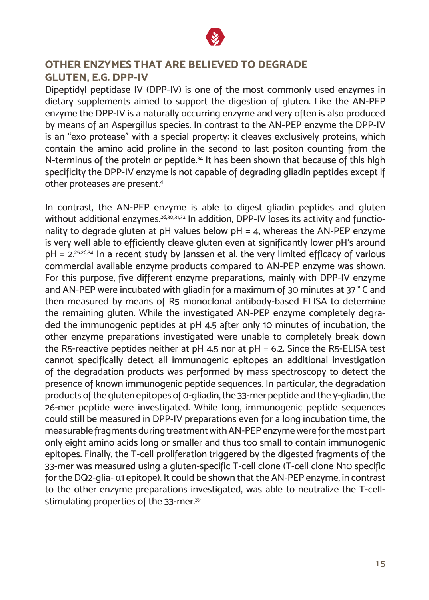

#### **OTHER ENZYMES THAT ARE BELIEVED TO DEGRADE GLUTEN, E.G. DPP-IV**

Dipeptidyl peptidase IV (DPP-IV) is one of the most commonly used enzymes in dietary supplements aimed to support the digestion of gluten. Like the AN-PEP enzyme the DPP-IV is a naturally occurring enzyme and very often is also produced by means of an Aspergillus species. In contrast to the AN-PEP enzyme the DPP-IV is an "exo protease" with a special property: it cleaves exclusively proteins, which contain the amino acid proline in the second to last positon counting from the N-terminus of the protein or peptide.<sup>34</sup> It has been shown that because of this high specificity the DPP-IV enzyme is not capable of degrading gliadin peptides except if other proteases are present.4

In contrast, the AN-PEP enzyme is able to digest gliadin peptides and gluten without additional enzymes.<sup>26,30,31,32</sup> In addition, DPP-IV loses its activity and functionality to degrade gluten at pH values below  $pH = 4$ , whereas the AN-PEP enzyme is very well able to efficiently cleave gluten even at significantly lower pH's around  $pH = 2^{25,26,34}$  In a recent study by Janssen et al. the very limited efficacy of various commercial available enzyme products compared to AN-PEP enzyme was shown. For this purpose, five different enzyme preparations, mainly with DPP-IV enzyme and AN-PEP were incubated with gliadin for a maximum of 30 minutes at 37 ° C and then measured by means of R5 monoclonal antibody-based ELISA to determine the remaining gluten. While the investigated AN-PEP enzyme completely degraded the immunogenic peptides at pH 4.5 after only 10 minutes of incubation, the other enzyme preparations investigated were unable to completely break down the R5-reactive peptides neither at pH 4.5 nor at pH = 6.2. Since the R5-ELISA test cannot specifically detect all immunogenic epitopes an additional investigation of the degradation products was performed by mass spectroscopy to detect the presence of known immunogenic peptide sequences. In particular, the degradation products of the gluten epitopes of α-gliadin, the 33-mer peptide and the γ-gliadin, the 26-mer peptide were investigated. While long, immunogenic peptide sequences could still be measured in DPP-IV preparations even for a long incubation time, the measurable fragments during treatment with AN-PEP enzyme were for the most part only eight amino acids long or smaller and thus too small to contain immunogenic epitopes. Finally, the T-cell proliferation triggered by the digested fragments of the 33-mer was measured using a gluten-specific T-cell clone (T-cell clone N10 specific for the DQ2-glia- α1 epitope). It could be shown that the AN-PEP enzyme, in contrast to the other enzyme preparations investigated, was able to neutralize the T-cellstimulating properties of the 33-mer.<sup>39</sup>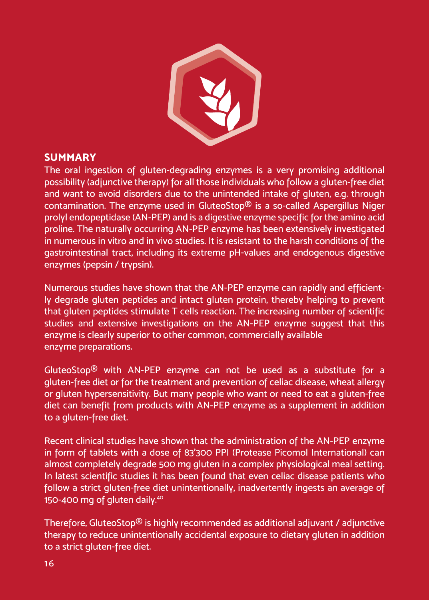

#### **SUMMARY**

The oral ingestion of gluten-degrading enzymes is a very promising additional possibility (adjunctive therapy) for all those individuals who follow a gluten-free diet and want to avoid disorders due to the unintended intake of gluten, e.g. through contamination. The enzyme used in GluteoStop® is a so-called Aspergillus Niger prolyl endopeptidase (AN-PEP) and is a digestive enzyme specific for the amino acid proline. The naturally occurring AN-PEP enzyme has been extensively investigated in numerous in vitro and in vivo studies. It is resistant to the harsh conditions of the gastrointestinal tract, including its extreme pH-values and endogenous digestive enzymes (pepsin / trypsin).

Numerous studies have shown that the AN-PEP enzyme can rapidly and efficiently degrade gluten peptides and intact gluten protein, thereby helping to prevent that gluten peptides stimulate T cells reaction. The increasing number of scientific studies and extensive investigations on the AN-PEP enzyme suggest that this enzyme is clearly superior to other common, commercially available enzyme preparations.

GluteoStop® with AN-PEP enzyme can not be used as a substitute for a gluten-free diet or for the treatment and prevention of celiac disease, wheat allergy or gluten hypersensitivity. But many people who want or need to eat a gluten-free diet can benefit from products with AN-PEP enzyme as a supplement in addition to a gluten-free diet.

Recent clinical studies have shown that the administration of the AN-PEP enzyme in form of tablets with a dose of 83'300 PPI (Protease Picomol International) can almost completely degrade 500 mg gluten in a complex physiological meal setting. In latest scientific studies it has been found that even celiac disease patients who follow a strict gluten-free diet unintentionally, inadvertently ingests an average of 150-400 mg of gluten daily.<sup>40</sup>

Therefore, GluteoStop® is highly recommended as additional adjuvant / adjunctive therapy to reduce unintentionally accidental exposure to dietary gluten in addition to a strict gluten-free diet.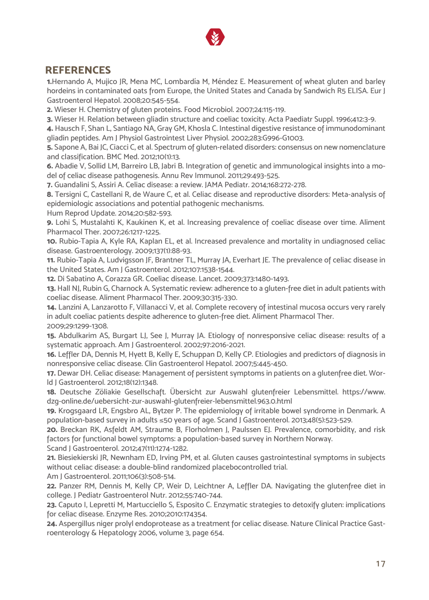

#### **REFERENCES**

**1.**Hernando A, Mujico JR, Mena MC, Lombardía M, Méndez E. Measurement of wheat gluten and barley hordeins in contaminated oats from Europe, the United States and Canada by Sandwich R5 ELISA. Eur J Gastroenterol Hepatol. 2008;20:545-554.

**2.** Wieser H. Chemistry of gluten proteins. Food Microbiol. 2007;24:115-119.

**3.** Wieser H. Relation between gliadin structure and coeliac toxicity. Acta Paediatr Suppl. 1996;412:3-9.

**4.** Hausch F, Shan L, Santiago NA, Gray GM, Khosla C. Intestinal digestive resistance of immunodominant gliadin peptides. Am J Physiol Gastrointest Liver Physiol. 2002;283:G996-G1003.

**5.** Sapone A, Bai JC, Ciacci C, et al. Spectrum of gluten-related disorders: consensus on new nomenclature and classification. BMC Med. 2012;10(1):13.

**6.** Abadie V, Sollid LM, Barreiro LB, Jabri B. Integration of genetic and immunological insights into a model of celiac disease pathogenesis. Annu Rev Immunol. 2011;29:493-525.

**7.** Guandalini S, Assiri A. Celiac disease: a review. JAMA Pediatr. 2014;168:272-278.

**8.** Tersigni C, Castellani R, de Waure C, et al. Celiac disease and reproductive disorders: Meta-analysis of epidemiologic associations and potential pathogenic mechanisms.

Hum Reprod Update. 2014;20:582-593.

**9.** Lohi S, Mustalahti K, Kaukinen K, et al. Increasing prevalence of coeliac disease over time. Aliment Pharmacol Ther. 2007;26:1217-1225.

**10.** Rubio-Tapia A, Kyle RA, Kaplan EL, et al. Increased prevalence and mortality in undiagnosed celiac disease. Gastroenterology. 2009;137(1):88-93.

**11.** Rubio-Tapia A, Ludvigsson JF, Brantner TL, Murray JA, Everhart JE. The prevalence of celiac disease in the United States. Am J Gastroenterol. 2012;107:1538-1544.

**12.** Di Sabatino A, Corazza GR. Coeliac disease. Lancet. 2009;373:1480-1493.

**13.** Hall NJ, Rubin G, Charnock A. Systematic review: adherence to a gluten-free diet in adult patients with coeliac disease. Aliment Pharmacol Ther. 2009;30:315-330.

**14.** Lanzini A, Lanzarotto F, Villanacci V, et al. Complete recovery of intestinal mucosa occurs very rarely in adult coeliac patients despite adherence to gluten-free diet. Aliment Pharmacol Ther. 2009;29:1299-1308.

**15.** Abdulkarim AS, Burgart LJ, See J, Murray JA. Etiology of nonresponsive celiac disease: results of a systematic approach. Am J Gastroenterol. 2002;97:2016-2021.

**16.** Leffler DA, Dennis M, Hyett B, Kelly E, Schuppan D, Kelly CP. Etiologies and predictors of diagnosis in nonresponsive celiac disease. Clin Gastroenterol Hepatol. 2007;5:445-450.

**17.** Dewar DH. Celiac disease: Management of persistent symptoms in patients on a glutenfree diet. World J Gastroenterol. 2012;18(12):1348.

**18.** Deutsche Zöliakie Gesellschaft. Übersicht zur Auswahl glutenfreier Lebensmittel. https://www. dzg-online.de/uebersicht-zur-auswahl-glutenfreier-lebensmittel.963.0.html

**19.** Krogsgaard LR, Engsbro AL, Bytzer P. The epidemiology of irritable bowel syndrome in Denmark. A population-based survey in adults ≤50 years of age. Scand J Gastroenterol. 2013;48(5):523-529.

**20.** Breckan RK, Asfeldt AM, Straume B, Florholmen J, Paulssen EJ. Prevalence, comorbidity, and risk factors for functional bowel symptoms: a population-based survey in Northern Norway.

Scand J Gastroenterol. 2012;47(11):1274-1282.

**21.** Biesiekierski JR, Newnham ED, Irving PM, et al. Gluten causes gastrointestinal symptoms in subjects without celiac disease: a double-blind randomized placebocontrolled trial.

Am J Gastroenterol. 2011;106(3):508-514.

**22.** Panzer RM, Dennis M, Kelly CP, Weir D, Leichtner A, Leffler DA. Navigating the glutenfree diet in college. J Pediatr Gastroenterol Nutr. 2012;55:740-744.

**23.** Caputo I, Lepretti M, Martucciello S, Esposito C. Enzymatic strategies to detoxify gluten: implications for celiac disease. Enzyme Res. 2010;2010:174354.

**24.** Aspergillus niger prolyl endoprotease as a treatment for celiac disease. Nature Clinical Practice Gastroenterology & Hepatology 2006, volume 3, page 654.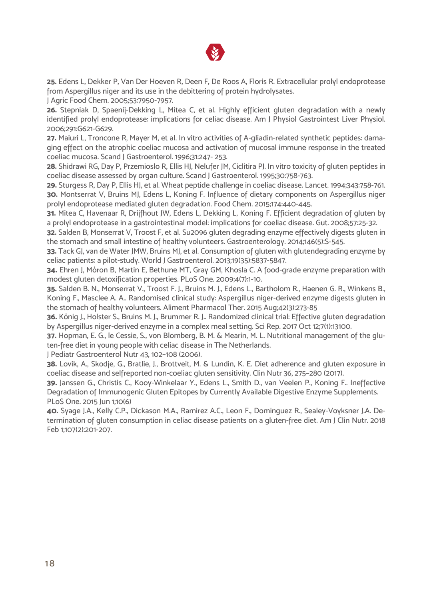

**25.** Edens L, Dekker P, Van Der Hoeven R, Deen F, De Roos A, Floris R. Extracellular prolyl endoprotease from Aspergillus niger and its use in the debittering of protein hydrolysates.

J Agric Food Chem. 2005;53:7950-7957.

**26.** Stepniak D, Spaenij-Dekking L, Mitea C, et al. Highly efficient gluten degradation with a newly identified prolyl endoprotease: implications for celiac disease. Am J Physiol Gastrointest Liver Physiol. 2006;291:G621-G629.

**27.** Maiuri L, Troncone R, Mayer M, et al. In vitro activities of A-gliadin-related synthetic peptides: damaging effect on the atrophic coeliac mucosa and activation of mucosal immune response in the treated coeliac mucosa. Scand J Gastroenterol. 1996;31:247- 253.

**28.** Shidrawi RG, Day P, Przemioslo R, Ellis HJ, Nelufer JM, Ciclitira PJ. In vitro toxicity of gluten peptides in coeliac disease assessed by organ culture. Scand J Gastroenterol. 1995;30:758-763.

**29.** Sturgess R, Day P, Ellis HJ, et al. Wheat peptide challenge in coeliac disease. Lancet. 1994;343:758-761. **30.** Montserrat V, Bruins MJ, Edens L, Koning F. Influence of dietary components on Aspergillus niger prolyl endoprotease mediated gluten degradation. Food Chem. 2015;174:440-445.

**31.** Mitea C, Havenaar R, Drijfhout JW, Edens L, Dekking L, Koning F. Efficient degradation of gluten by a prolyl endoprotease in a gastrointestinal model: implications for coeliac disease. Gut. 2008;57:25-32.

**32.** Salden B, Monserrat V, Troost F, et al. Su2096 gluten degrading enzyme effectively digests gluten in the stomach and small intestine of healthy volunteers. Gastroenterology. 2014;146(5):S-545.

**33.** Tack GJ, van de Water JMW, Bruins MJ, et al. Consumption of gluten with glutendegrading enzyme by celiac patients: a pilot-study. World J Gastroenterol. 2013;19(35):5837-5847.

**34.** Ehren J, Móron B, Martin E, Bethune MT, Gray GM, Khosla C. A food-grade enzyme preparation with modest gluten detoxification properties. PLoS One. 2009;4(7):1-10.

**35.** Salden B. N., Monserrat V., Troost F. J., Bruins M. J., Edens L., Bartholom R., Haenen G. R., Winkens B., Koning F., Masclee A. A.. Randomised clinical study: Aspergillus niger-derived enzyme digests gluten in the stomach of healthy volunteers. Aliment Pharmacol Ther. 2015 Aug;42(3):273-85

**36.** König J., Holster S., Bruins M. J., Brummer R. J.. Randomized clinical trial: Effective gluten degradation by Aspergillus niger-derived enzyme in a complex meal setting. Sci Rep. 2017 Oct 12;7(1):13100.

**37.** Hopman, E. G., le Cessie, S., von Blomberg, B. M. & Mearin, M. L. Nutritional management of the gluten-free diet in young people with celiac disease in The Netherlands.

J Pediatr Gastroenterol Nutr 43, 102–108 (2006).

**38.** Lovik, A., Skodje, G., Bratlie, J., Brottveit, M. & Lundin, K. E. Diet adherence and gluten exposure in coeliac disease and selfreported non-coeliac gluten sensitivity. Clin Nutr 36, 275–280 (2017).

**39.** Janssen G., Christis C., Kooy-Winkelaar Y., Edens L., Smith D., van Veelen P., Koning F.. Ineffective Degradation of Immunogenic Gluten Epitopes by Currently Available Digestive Enzyme Supplements. PLoS One. 2015 Jun 1:10(6)

**40.** Syage J.A., Kelly C.P., Dickason M.A., Ramirez A.C., Leon F., Dominguez R., Sealey-Voyksner J.A. Determination of gluten consumption in celiac disease patients on a gluten-free diet. Am J Clin Nutr. 2018 Feb 1;107(2):201-207.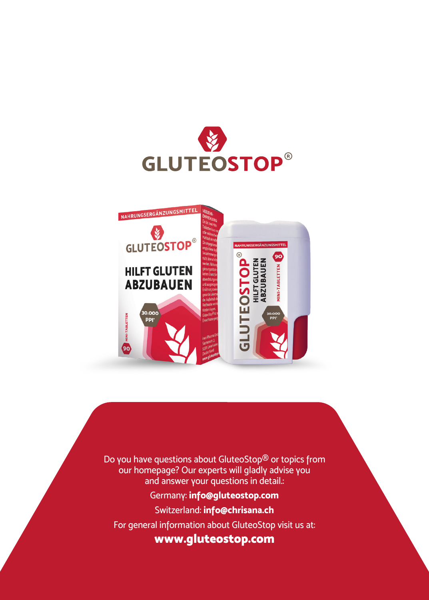



Do you have questions about GluteoStop® or topics from our homepage? Our experts will gladly advise you and answer your questions in detail.:

#### Germany: **info@gluteostop.com**

Switzerland: **info@chrisana.ch**

For general information about GluteoStop visit us at:

**www.gluteostop.com**